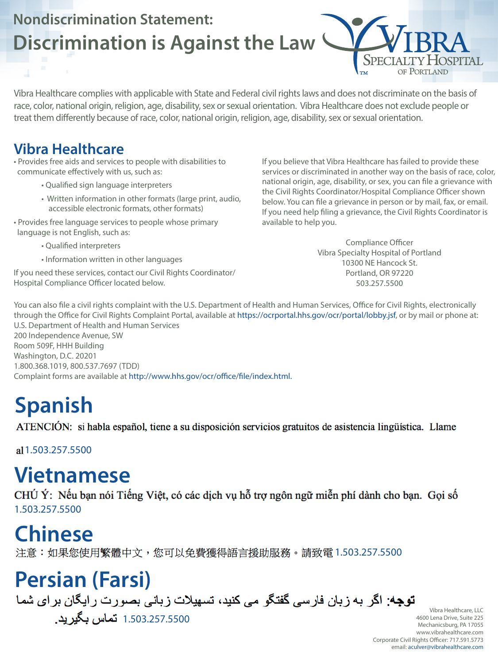## **Nondiscrimination Statement: Discrimination is Against the Law**

Vibra Healthcare complies with applicable with State and Federal civil rights laws and does not discriminate on the basis of race, color, national origin, religion, age, disability, sex or sexual orientation. Vibra Healthcare does not exclude people or treat them differently because of race, color, national origin, religion, age, disability, sex or sexual orientation.

#### **Vibra Healthcare**

• Provides free aids and services to people with disabilities to communicate effectively with us, such as:

- Qualified sign language interpreters
- Written information in other formats (large print, audio, accessible electronic formats, other formats)
- Provides free language services to people whose primary language is not English, such as:
	- Qualified interpreters
	- Information written in other languages
- If you need these services, contact our Civil Rights Coordinator/ Hospital Compliance Officer located below.

CHÚ Ý: Nếu bạn nói Tiếng Việt, có các dịch vụ hỗ trợ ngôn ngữ miễn phí dành cho bạn. Gọi số 1.503.257.5500

If you believe that Vibra Healthcare has failed to provide these services or discriminated in another way on the basis of race, color, national origin, age, disability, or sex, you can file a grievance with the Civil Rights Coordinator/Hospital Compliance Officer shown below. You can file a grievance in person or by mail, fax, or email. If you need help filing a grievance, the Civil Rights Coordinator is available to help you.

SPECIALTY HOSPITAL

Compliance Officer Vibra Specialty Hospital of Portland 10300 NE Hancock St. Portland, OR 97220 503.257.5500

You can also file a civil rights complaint with the U.S. Department of Health and Human Services, Office for Civil Rights, electronically through the Office for Civil Rights Complaint Portal, available at https://ocrportal.hhs.gov/ocr/portal/lobby.jsf, or by mail or phone at: U.S. Department of Health and Human Services 200 Independence Avenue, SW Room 509F, HHH Building Washington, D.C. 20201 1.800.368.1019, 800.537.7697 (TDD) Complaint forms are available at http://www.hhs.gov/ocr/office/file/index.html.

# **Spanish**

ATENCIÓN: si habla español, tiene a su disposición servicios gratuitos de asistencia lingüística. Llame

al 1.503.257.5500

## **Chinese**

注意:如果您使用繁體中文,您可以免費獲得語言援助服務。請致電 1.503.257.5500

## **Vietnamese**

# **Persian (Farsi)**

**توجه**: اگر به زبان فارسی گفتگو می کنید، تسهیلات زبانی بصورت رایگان برای شما 1.503.257.5500 تماس بگیرید.

Vibra Healthcare, LLC 4600 Lena Drive, Suite 225 Mechanicsburg, PA 17055 www.vibrahealthcare.com Corporate Civil Rights Officer: 717.591.5773 email: aculver@vibrahealthcare.com